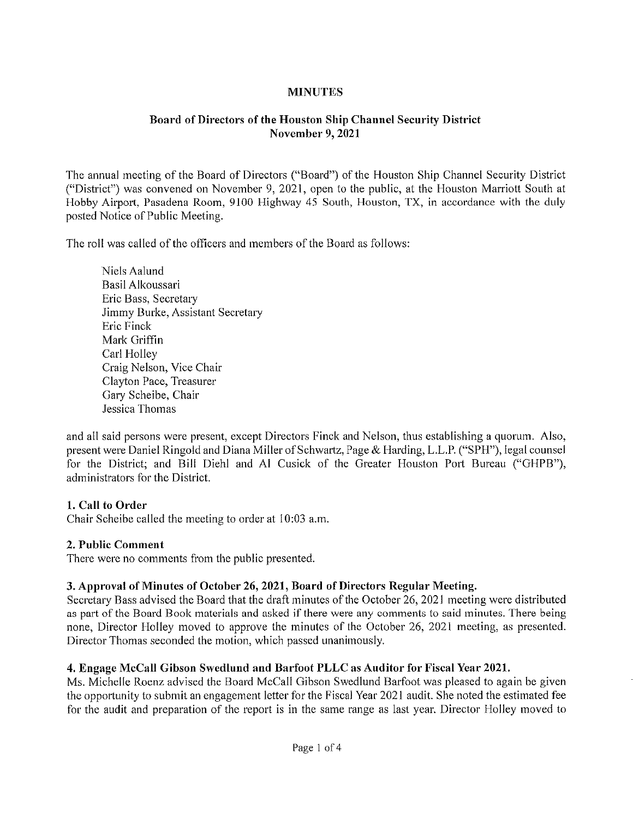## **MINUTES**

## Board of Directors of the Houston Ship Channel Security District November 9, 2021

The annual meeting of the Board of Directors ("Board") of the Houston Ship Channel Security District ("District") was convened on November 9, 2021, open to the public, at the Houston Marriott South at Hobby Airport, Pasadena Room, 9100 Highway 45 South, Houston, TX, in accordance with the duly posted Notice of Public Meeting.

The roll was called of the officers and members of the Board as follows:

Niels Aalund Basil Alkoussari Eric Bass, Secretary Jimmy Burke, Assistant Secretary Eric Finck Mark Griffin Carl Holley Craig Nelson, Vice Chair Clayton Pace, Treasurer Gary Scheibe, Chair Jessica Thomas

and all said persons were present, except Directors Finck and Nelson, thus establishing a quorum. Also, present were Daniel Ringold and Diana Miller of Schwartz, Page & Harding, L.L.P. ("SPH"), legal counsel for the District; and Bill Diehl and Al Cusick of the Greater Houston Port Bureau ("GHPB"), administrators for the District.

## 1. Call to Order

Chair Scheibe called the meeting to order at 10:03 a.m.

### 2. Public Comment

There were no comments from the public presented.

## 3. Approval of Minutes of October 26, 2021, Board of Directors Regular Meeting.

Secretary Bass advised the Board that the draft minutes of the October 26, 2021 meeting were distributed as part of the Board Book materials and asked if there were any comments to said minutes. There being none. Director Holley moved to approve the minutes of the October 26, 2021 meeting, as presented. Director Thomas seconded the motion, which passed unanimously.

## 4. Engage McCall Gibson Swcdlund and Barfoot PLLC as Auditor for Fiscal Year 2021.

Ms. MicheIIe Roenz advised the Board McCaII Gibson Swedlund Barfoot was pleased to again be given the opportunity to submit an engagement letter for the Fiscal Year 2021 audit. She noted the estimated fee for the audit and preparation of the report is in the same range as last year. Director Holley moved to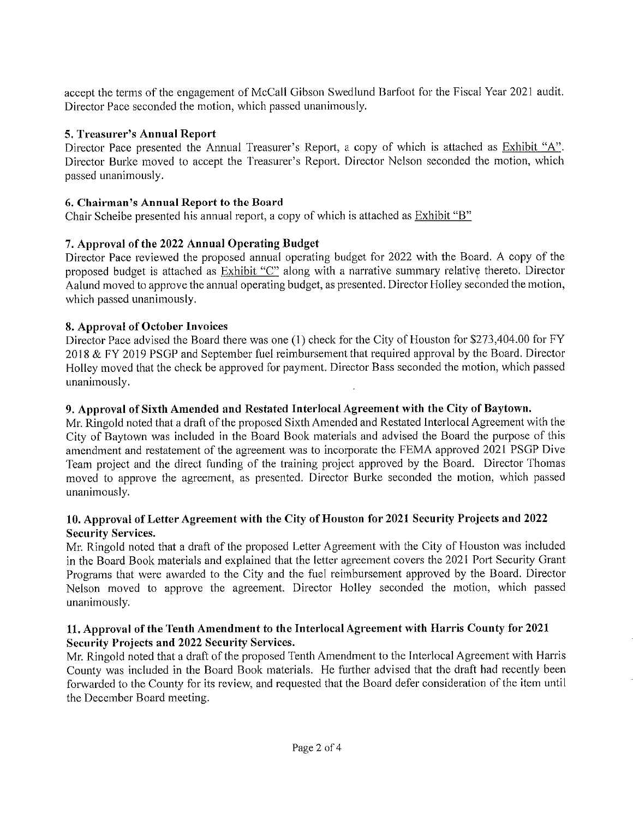accept the terms of the engagement of McCaIl Gibson Swedlund Barfoot for the Fiscal Year 2021 audit. Director Pace seconded the motion, which passed unanimously.

## 5. Treasurer's Annual Report

Director Pace presented the Annual Treasurer's Report, a copy of which is attached as Exhibit "A". Director Burke moved to accept the Treasurer's Report. Director Nelson seconded the motion, which passed unanimously.

## 6. Chairman's Annual Report to the Board

Chair Scheibe presented his annual report, a copy of which is attached as Exhibit "B"

## 7. Approval of the 2022 Annual Operating Budget

Director Pace reviewed the proposed annual operating budget for 2022 with the Board. A copy of the proposed budget is attached as Exhibit "C" along with a narrative summary relative thereto. Director Aalund moved to approve the annual operating budget, as presented. Director Holley seconded the motion, which passed unanimously.

### 8. Approval of October Invoices

Director Pace advised the Board there was one (1) check for the City of Houston for \$273,404.00 for FY 2018 & FY 2019 PSGP and September fuel reimbursement that required approval by the Board. Director Holley moved that the check be approved for payment. Director Bass seconded the motion, which passed unanimously.

### 9. Approval of Sixth Amended and Restated Interlocal Agreement with the City of Baytown.

Mr. Rlngold noted that a draft of the proposed Sixth Amended and Restated Interlocal Agreement with the City of Baytown was included in the Board Book materials and advised the Board the purpose of this amendment and restatement of the agreement was to incorporate the FEMA approved 2021 PSGP Dive Team project and the direct funding of the training project approved by the Board. Director Thomas moved to approve the agreement, as presented. Director Burke seconded the motion, which passed unanimously.

## 10. Approval of Letter Agreement with the City of Houston for 2021 Security Projects and 2022 Security Services.

Mr. Ringold noted that a draft of the proposed Letter Agreement with the City of Houston was included in the Board Book materials and explained that the letter agreement covers the 2021 Port Security Grant Programs that were awarded to the City and the fuel reimbursement approved by the Board. Director Nelson moved to approve the agreement. Director Holley seconded the motion, which passed unanimously.

## 11. Approval of the Tenth Amendment to the Interlocal Agreement with Harris County for 2021 Security Projects and 2022 Security Services.

Mr. Ringold noted that a draft of the proposed Tenth Amendment to the Interlocal Agreement with Harris County was included in the Board Book materials. He further advised that the draft had recently been forwarded to the County for its review, and requested that the Board defer consideration of the item until the December Board meeting.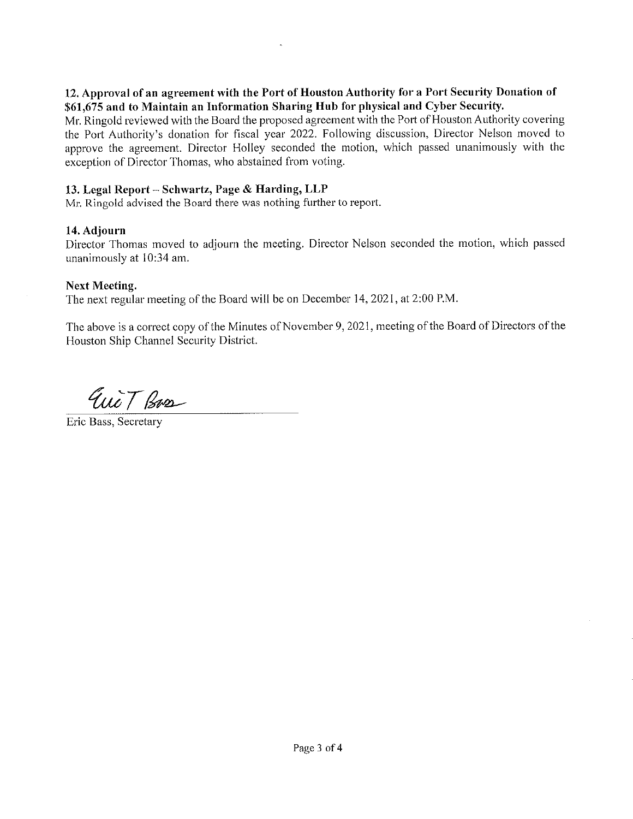### 12. Approval of an agreement with the Port of Houston Authority for a Port Security Donation of \$61,675 and to Maintain an Information Sharing Hub for physical and Cyber Security.

Mr. Ringold reviewed with the Board the proposed agreement with the Port of Houston Authority covering the Port Authority's donation for fiscal year 2022. Following discussion, Director Nelson moved to approve the agreement. Director Holley seconded the motion, which passed unanimously with the exception of Director Thomas, who abstained from voting.

## 13. Legal Report - Schwartz, Page & Harding, LLP

Mr. Ringold advised the Board there was nothing further to report.

### 14. Adjourn

Director Thomas moved to adjourn the meeting. Director Nelson seconded the motion, which passed unanimously at 10:34 am.

## Next Meeting.

The next regular meeting of the Board will be on December 14, 2021, at 2:00 P.M.

The above is a correct copy of the Minutes of November 9, 2021, meeting of the Board of Directors of the Houston Ship Channel Security District.

Eucit Bass

Erie Bass, Secretary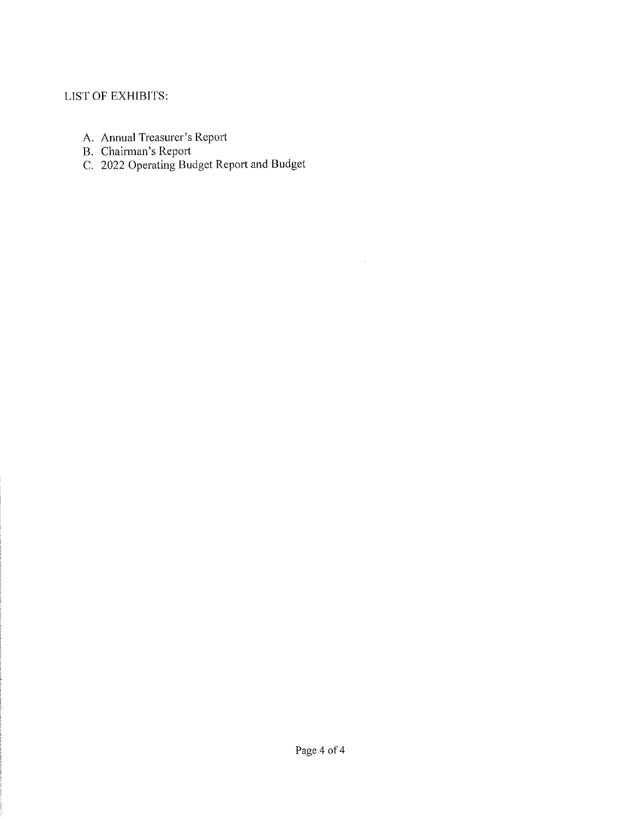# LIST OF EXHIBITS:

- A. Annual Treasure! s Report
- B. Chairman's Report
- C. 2022 Operating Budget Report and Budget

 $\sim$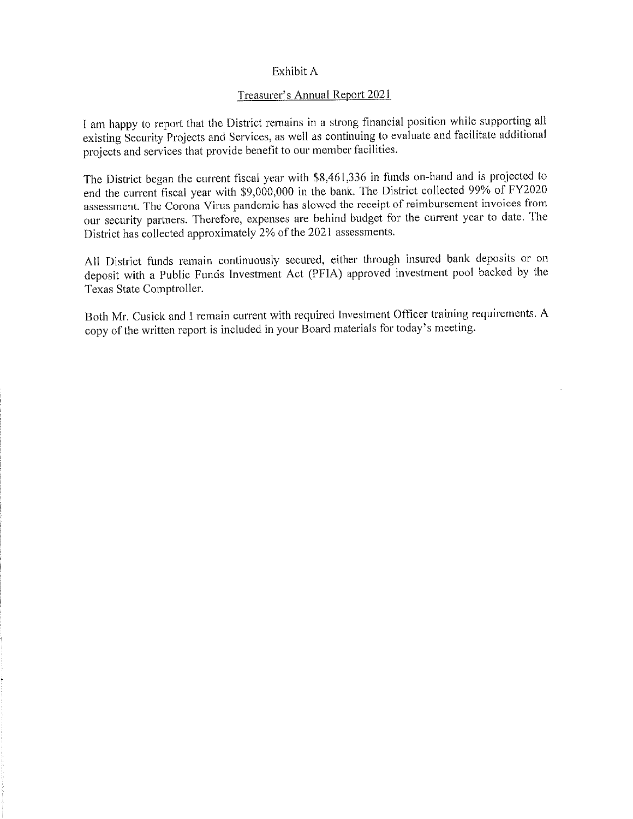#### Exhibit A

#### Treasurer's Annual Report 2021

I am happy to report that the District remains in a strong financial position while supporting all existing Security Projects and Services, as well as continuing to evaluate and facilitate additional projects and services that provide benefit to our member facilities.

The District began the current fiscal year with \$8,461,336 in funds on-hand and is projected to end the current fiscal year with \$9,000,000 in the bank. The District collected 99% of FY2020 assessment. The Corona Virus pandemic has slowed the receipt of reimbursement invoices from our security partners. Therefore, expenses are behind budget for the current year to date. The District has collected approximately 2% of the 202] assessments.

All District funds remain continuously secured, either through insured bank deposits or on deposit with a Public Funds Investment Act (PFIA) approved Investment pool backed by the Texas State Comptroller.

Both Mr. Cusick and I remain current with required Investment Officer training requirements. A copy of the written report is included in your Board materials for today's meeting.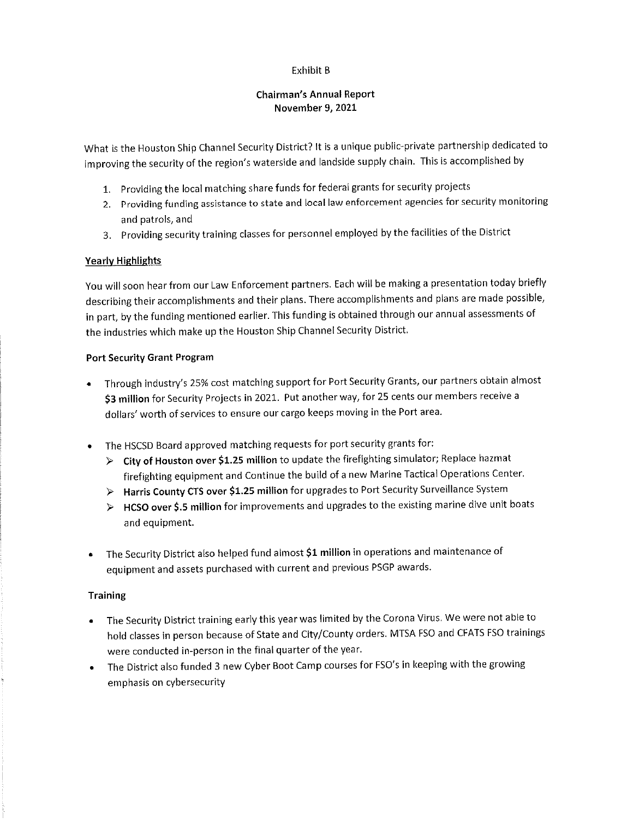#### Exhibit B

#### Chairman's Annual Report November 9, 2021

What is the Houston Ship Channei Security District? It is a unique public-private partnership dedicated to improving the security of the region's waterside and landside supply chain. This is accomplished by

- 1, Providing the local matching share funds for federal grants for security projects
- 2. Providing funding assistance to state and local law enforcement agencies for security monitoring and patrols, and
- 3. Providing security training classes for personnel employed by the facilities of the District

#### Yearly Highlights

You will soon hear from our Law Enforcement partners. Each will be making a presentation today briefly describing their accomplishments and their plans. There accomplishments and plans are made possible, in part, by the funding mentioned earlier. This funding is obtained through our annual assessments of the industries which make up the Houston Ship Channei Security District.

#### Port Security Grant Program

- Through industry's 25% cost matching support for Port Security Grants, our partners obtain almost \$3 million for Security Projects in 2021. Put another way, for 25 cents our members receive a dollars'worth of services to ensure our cargo keeps moving in the Port area.
- The HSCSD Board approved matching requests for port security grants for:
	- > City of Houston over \$1.25 million to update the firefighting simuiator; Replace hazmat firefighting equipment and Continue the build of a new Marine Tactical Operations Center.
	- > Harris County CTS over \$1.25 million for upgrades to Port Security Surveillance System
	- $\triangleright$  HCSO over \$.5 million for improvements and upgrades to the existing marine dive unit boats and equipment.
- The Security District also helped fund almost \$1 million in operations and maintenance of equipment and assets purchased with current and previous PSGP awards.

#### **Training**

- The Security District training early this year was limited by the Corona Virus, We were not able to hold classes in person because of State and City/County orders. MTSA FSO and CFATS FSO trainings were conducted in-person in the final quarter of the year.
- The District also funded 3 new Cyber Boot Camp courses for FSO's in keeping with the growing emphasis on cybersecurity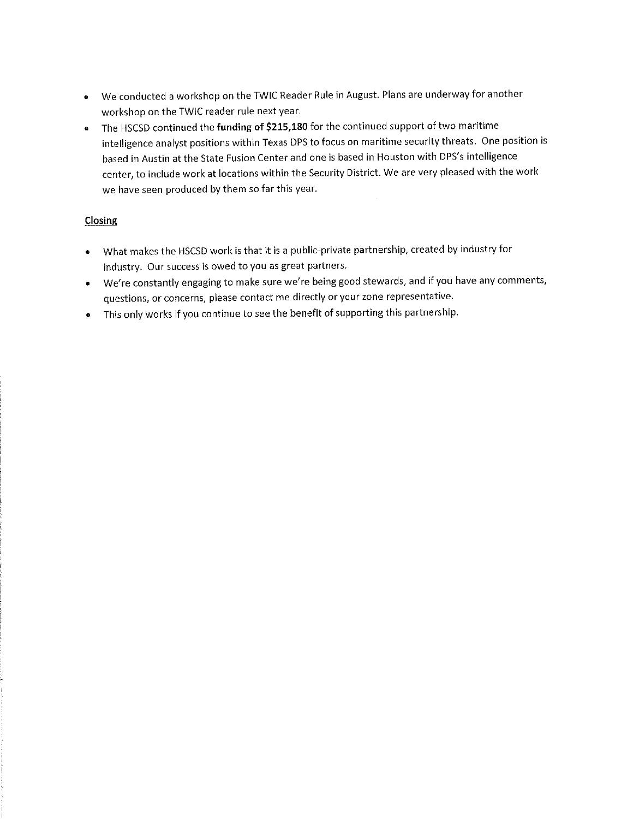- We conducted a workshop on the TWIC Reader Rule in August. Pians are underway for another  $\bullet$ workshop on the TWIC reader rule next year.
- The HSCSD continued the funding of \$215,180 for the continued support of two maritime  $\bullet$ intelligence analyst positions within Texas DPS to focus on maritime security threats. One position is based in Austin at the State Fusion Center and one is based in Houston with DPS's intelligence center, to include work at locations within the Security District. We are very pleased with the work we have seen produced by them so far this year.

## Closing

- What makes the HSCSD work is that it is a public-private partnership, created by industry for  $\bullet$ industry. Our success is owed to you as great partners.
- We're constantly engaging to make sure we're being good stewards, and if you have any comments, questions, or concerns, please contact me directly or your zone representative.
- This only works if you continue to see the benefit of supporting this partnership.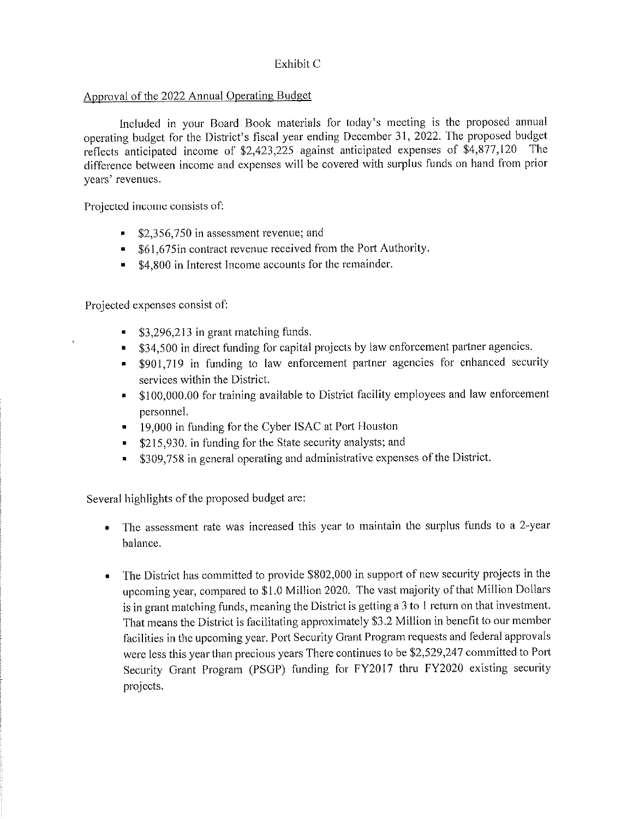### Exhibit C

### Approval of the 2Q22\_ Annual Operating Budget

Included in your Board Book materials for today's meeting is the proposed annual operating budget for the District's fiscal year ending December 31, 2022. The proposed budget<br>reflects anticipated income of \$2,423,225 against anticipated expenses of \$4,877,120 The reflects anticipated income of  $$2,423,225$  against anticipated expenses of  $$4,877,120$ difference between income and expenses will be covered with surplus funds on hand from prior years' revenues.

Projected income consists of;

- \$2,356,750 in assessment revenue; and
- **B** \$61,675in contract revenue received from the Port Authority.
- \$4,800 in Interest Income accounts for the remainder.

Projected expenses consist of:

- \$3,296,213 in grant matching funds,
- 11 \$34,500 in direct funding for capital projects by law enforcement partner agencies.
- \$901,719 in funding to law enforcement partner agencies for enhanced security services within the District.
- \$100,000.00 for training available to District facility employees and law enforcement personnel.
- 19,000 in funding for the Cyber ISAC at Port Houston
- \$215,930. in funding for the State security analysts; and
- \$309,758 in general operating and administrative expenses of the District.

Several highlights of the proposed budget are:

- The assessment rate was increased this year to maintain the surplus funds to a 2-year balance.
- The District has committed to provide \$802,000 in support of new security projects in the upcoming year, compared to \$1.0 Million 2020. The vast majority of that Million Dollars is in grant matching funds, meaning the District is getting a 3 to 1 return on that investment. That means the District is facilitating approximately \$3.2 Million in benefit to our member facilities in the upcoming year. Port Security Grant Program requests and federal approvals were less this year than precious years There continues to be \$2,529,247 committed to Port Security Grant Program (PSGP) funding for FY2017 thru FY2020 existing security projects.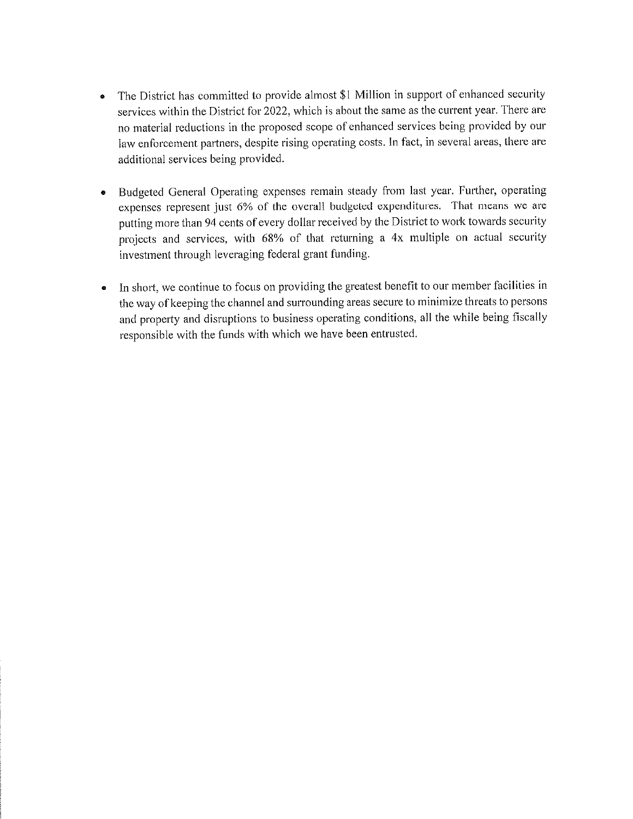- The District has committed to provide almost \$1 Million in support of enhanced security  $\bullet$ services within the District for 2022, which is about the same as the current year. There are no material reductions in the proposed scope of enhanced services being provided by our law enforcement partners, despite rising operating costs. In fact, in several areas, there are additional services being provided.
- Budgeted General Operating expenses remain steady from last year. Further, operating  $\bullet$ expenses represent just 6% of the overall budgeted expenditures. That means we are putting more than 94 cents of every dollar received by the District to work towards security projects and services, with 68% of that returning a 4x multiple on actual security investment through leveraging federal grant funding.
- In short, we continue to focus on providing the greatest benefit to our member facilities in  $\bullet$ the way of keeping the channel and surrounding areas secure to minimize threats to persons and property and disruptions to business operating conditions, all the while being fiscally responsible with the funds with which we have been entrusted.